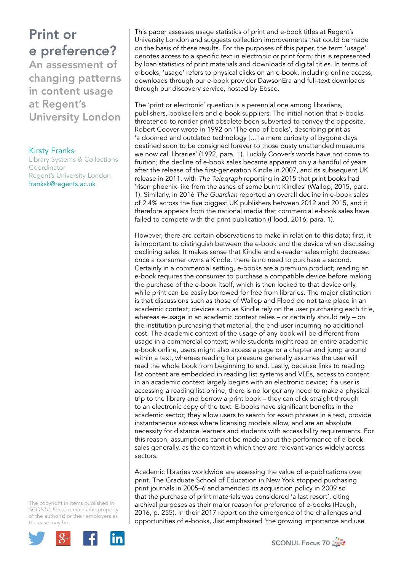University London

Kirsty Franks Library Systems & Collections Coordinator Regent's University London franksk@regents.ac.uk

This paper assesses usage statistics of print and e-book titles at Regent's University London and suggests collection improvements that could be made on the basis of these results. For the purposes of this paper, the term 'usage' denotes access to a specific text in electronic or print form; this is represented by loan statistics of print materials and downloads of digital titles. In terms of e-books, 'usage' refers to physical clicks on an e-book, including online access, downloads through our e-book provider DawsonEra and full-text downloads through our discovery service, hosted by Ebsco.

The 'print or electronic' question is a perennial one among librarians, publishers, booksellers and e-book suppliers. The initial notion that e-books threatened to render print obsolete been subverted to convey the opposite. Robert Coover wrote in 1992 on 'The end of books', describing print as 'a doomed and outdated technology […] a mere curiosity of bygone days destined soon to be consigned forever to those dusty unattended museums we now call libraries' (1992, para. 1). Luckily Coover's words have not come to fruition; the decline of e-book sales became apparent only a handful of years after the release of the first-generation Kindle in 2007, and its subsequent UK release in 2011, with *The Telegraph* reporting in 2015 that print books had 'risen phoenix-like from the ashes of some burnt Kindles' (Wallop, 2015, para. 1). Similarly, in 2016 *The Guardian* reported an overall decline in e-book sales of 2.4% across the five biggest UK publishers between 2012 and 2015, and it therefore appears from the national media that commercial e-book sales have failed to compete with the print publication (Flood, 2016, para. 1).

However, there are certain observations to make in relation to this data; first, it is important to distinguish between the e-book and the device when discussing declining sales. It makes sense that Kindle and e-reader sales might decrease: once a consumer owns a Kindle, there is no need to purchase a second. Certainly in a commercial setting, e-books are a premium product; reading an e-book requires the consumer to purchase a compatible device before making the purchase of the e-book itself, which is then locked to that device only, while print can be easily borrowed for free from libraries. The major distinction is that discussions such as those of Wallop and Flood do not take place in an academic context; devices such as Kindle rely on the user purchasing each title, whereas e-usage in an academic context relies – or certainly should rely – on the institution purchasing that material, the end-user incurring no additional cost. The academic context of the usage of any book will be different from usage in a commercial context; while students might read an entire academic e-book online, users might also access a page or a chapter and jump around within a text, whereas reading for pleasure generally assumes the user will read the whole book from beginning to end. Lastly, because links to reading list content are embedded in reading list systems and VLEs, access to content in an academic context largely begins with an electronic device; if a user is accessing a reading list online, there is no longer any need to make a physical trip to the library and borrow a print book – they can click straight through to an electronic copy of the text. E-books have significant benefits in the academic sector; they allow users to search for exact phrases in a text, provide instantaneous access where licensing models allow, and are an absolute necessity for distance learners and students with accessibility requirements. For this reason, assumptions cannot be made about the performance of e-book sales generally, as the context in which they are relevant varies widely across sectors.

Academic libraries worldwide are assessing the value of e-publications over print. The Graduate School of Education in New York stopped purchasing print journals in 2005–6 and amended its acquisition policy in 2009 so that the purchase of print materials was considered 'a last resort', citing archival purposes as their major reason for preference of e-books (Haugh, 2016, p. 255). In their 2017 report on the emergence of the challenges and opportunities of e-books, Jisc emphasised 'the growing importance and use



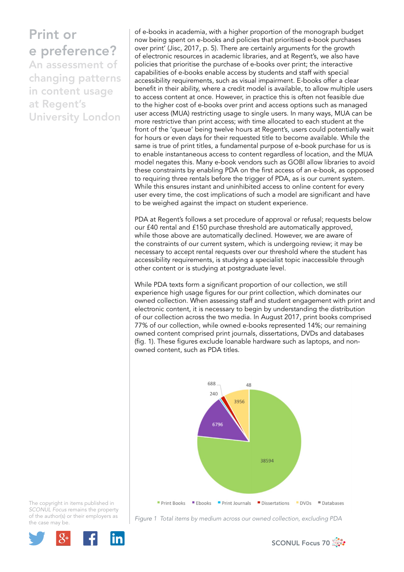of e-books in academia, with a higher proportion of the monograph budget now being spent on e-books and policies that prioritised e-book purchases over print' (Jisc, 2017, p. 5). There are certainly arguments for the growth of electronic resources in academic libraries, and at Regent's, we also have policies that prioritise the purchase of e-books over print; the interactive capabilities of e-books enable access by students and staff with special accessibility requirements, such as visual impairment. E-books offer a clear benefit in their ability, where a credit model is available, to allow multiple users to access content at once. However, in practice this is often not feasible due to the higher cost of e-books over print and access options such as managed user access (MUA) restricting usage to single users. In many ways, MUA can be more restrictive than print access; with time allocated to each student at the front of the 'queue' being twelve hours at Regent's, users could potentially wait for hours or even days for their requested title to become available. While the same is true of print titles, a fundamental purpose of e-book purchase for us is to enable instantaneous access to content regardless of location, and the MUA model negates this. Many e-book vendors such as GOBI allow libraries to avoid these constraints by enabling PDA on the first access of an e-book, as opposed to requiring three rentals before the trigger of PDA, as is our current system. While this ensures instant and uninhibited access to online content for every user every time, the cost implications of such a model are significant and have to be weighed against the impact on student experience.

PDA at Regent's follows a set procedure of approval or refusal; requests below our £40 rental and £150 purchase threshold are automatically approved, while those above are automatically declined. However, we are aware of the constraints of our current system, which is undergoing review; it may be necessary to accept rental requests over our threshold where the student has accessibility requirements, is studying a specialist topic inaccessible through other content or is studying at postgraduate level.

While PDA texts form a significant proportion of our collection, we still experience high usage figures for our print collection, which dominates our owned collection. When assessing staff and student engagement with print and electronic content, it is necessary to begin by understanding the distribution of our collection across the two media. In August 2017, print books comprised 77% of our collection, while owned e-books represented 14%; our remaining owned content comprised print journals, dissertations, DVDs and databases (fig. 1). These figures exclude loanable hardware such as laptops, and nonowned content, such as PDA titles.





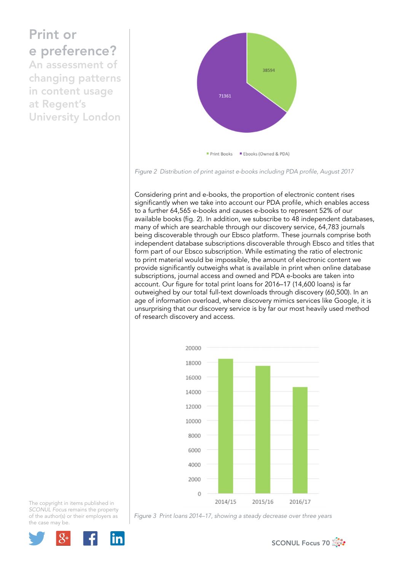

*Figure 2 Distribution of print against e-books including PDA profile, August 2017*

Considering print and e-books, the proportion of electronic content rises significantly when we take into account our PDA profile, which enables access to a further 64,565 e-books and causes e-books to represent 52% of our available books (fig. 2). In addition, we subscribe to 48 independent databases, many of which are searchable through our discovery service, 64,783 journals being discoverable through our Ebsco platform. These journals comprise both independent database subscriptions discoverable through Ebsco and titles that form part of our Ebsco subscription. While estimating the ratio of electronic to print material would be impossible, the amount of electronic content we provide significantly outweighs what is available in print when online database subscriptions, journal access and owned and PDA e-books are taken into account. Our figure for total print loans for 2016–17 (14,600 loans) is far outweighed by our total full-text downloads through discovery (60,500). In an age of information overload, where discovery mimics services like Google, it is unsurprising that our discovery service is by far our most heavily used method of research discovery and access.



The copyright in items published in *SCONUL Focus* remains the property of the author(s) or their employers as the case may be.



*Figure 3 Print loans 2014–17, showing a steady decrease over three years* 

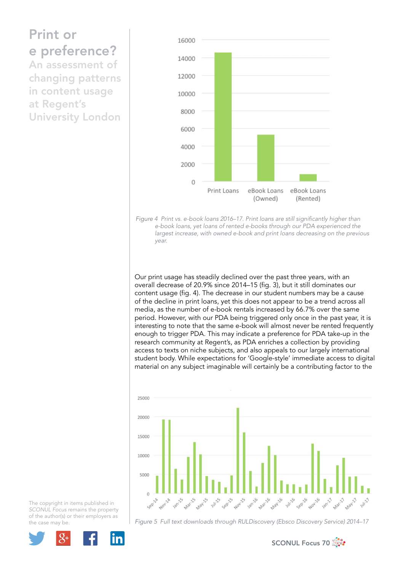## Print or e preference? An assessment of

changing patterns in content usage at Regent's University London



*Figure 4 Print vs. e-book loans 2016–17. Print loans are still significantly higher than e-book loans, yet loans of rented e-books through our PDA experienced the largest increase, with owned e-book and print loans decreasing on the previous year.*

Our print usage has steadily declined over the past three years, with an overall decrease of 20.9% since 2014–15 (fig. 3), but it still dominates our content usage (fig. 4). The decrease in our student numbers may be a cause of the decline in print loans, yet this does not appear to be a trend across all media, as the number of e-book rentals increased by 66.7% over the same period. However, with our PDA being triggered only once in the past year, it is interesting to note that the same e-book will almost never be rented frequently enough to trigger PDA. This may indicate a preference for PDA take-up in the research community at Regent's, as PDA enriches a collection by providing access to texts on niche subjects, and also appeals to our largely international student body. While expectations for 'Google-style' immediate access to digital material on any subject imaginable will certainly be a contributing factor to the



The copyright in items published in *SCONUL Focus* remains the property of the author(s) or their employers as the case may be.



*Figure 5 Full text downloads through RULDiscovery (Ebsco Discovery Service) 2014–17* 

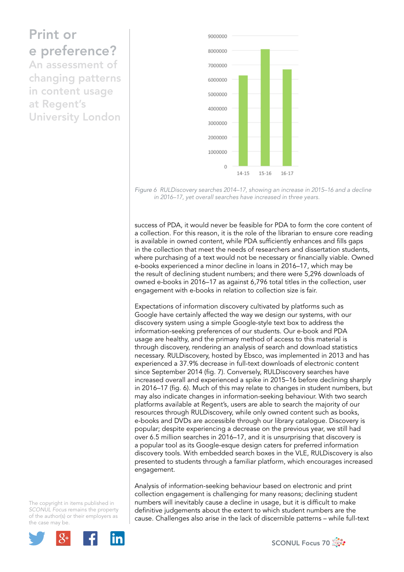

*Figure 6 RULDiscovery searches 2014–17, showing an increase in 2015–16 and a decline in 2016–17, yet overall searches have increased in three years.*

success of PDA, it would never be feasible for PDA to form the core content of a collection. For this reason, it is the role of the librarian to ensure core reading is available in owned content, while PDA sufficiently enhances and fills gaps in the collection that meet the needs of researchers and dissertation students, where purchasing of a text would not be necessary or financially viable. Owned e-books experienced a minor decline in loans in 2016–17, which may be the result of declining student numbers; and there were 5,296 downloads of owned e-books in 2016–17 as against 6,796 total titles in the collection, user engagement with e-books in relation to collection size is fair.

Expectations of information discovery cultivated by platforms such as Google have certainly affected the way we design our systems, with our discovery system using a simple Google-style text box to address the information-seeking preferences of our students. Our e-book and PDA usage are healthy, and the primary method of access to this material is through discovery, rendering an analysis of search and download statistics necessary. RULDiscovery, hosted by Ebsco, was implemented in 2013 and has experienced a 37.9% decrease in full-text downloads of electronic content since September 2014 (fig. 7). Conversely, RULDiscovery searches have increased overall and experienced a spike in 2015–16 before declining sharply in 2016–17 (fig. 6). Much of this may relate to changes in student numbers, but may also indicate changes in information-seeking behaviour. With two search platforms available at Regent's, users are able to search the majority of our resources through RULDiscovery, while only owned content such as books, e-books and DVDs are accessible through our library catalogue. Discovery is popular; despite experiencing a decrease on the previous year, we still had over 6.5 million searches in 2016–17, and it is unsurprising that discovery is a popular tool as its Google-esque design caters for preferred information discovery tools. With embedded search boxes in the VLE, RULDiscovery is also presented to students through a familiar platform, which encourages increased engagement.

Analysis of information-seeking behaviour based on electronic and print collection engagement is challenging for many reasons; declining student numbers will inevitably cause a decline in usage, but it is difficult to make definitive judgements about the extent to which student numbers are the cause. Challenges also arise in the lack of discernible patterns – while full-text



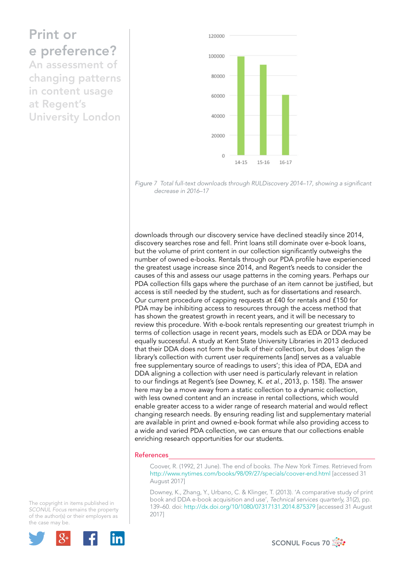

*Figure 7 Total full-text downloads through RULDiscovery 2014–17, showing a significant decrease in 2016–17*

downloads through our discovery service have declined steadily since 2014, discovery searches rose and fell. Print loans still dominate over e-book loans, but the volume of print content in our collection significantly outweighs the number of owned e-books. Rentals through our PDA profile have experienced the greatest usage increase since 2014, and Regent's needs to consider the causes of this and assess our usage patterns in the coming years. Perhaps our PDA collection fills gaps where the purchase of an item cannot be justified, but access is still needed by the student, such as for dissertations and research. Our current procedure of capping requests at £40 for rentals and £150 for PDA may be inhibiting access to resources through the access method that has shown the greatest growth in recent years, and it will be necessary to review this procedure. With e-book rentals representing our greatest triumph in terms of collection usage in recent years, models such as EDA or DDA may be equally successful. A study at Kent State University Libraries in 2013 deduced that their DDA does not form the bulk of their collection, but does 'align the library's collection with current user requirements [and] serves as a valuable free supplementary source of readings to users'; this idea of PDA, EDA and DDA aligning a collection with user need is particularly relevant in relation to our findings at Regent's (see Downey, K. *et al*., 2013, p. 158). The answer here may be a move away from a static collection to a dynamic collection, with less owned content and an increase in rental collections, which would enable greater access to a wider range of research material and would reflect changing research needs. By ensuring reading list and supplementary material are available in print and owned e-book format while also providing access to a wide and varied PDA collection, we can ensure that our collections enable enriching research opportunities for our students.

## References

Coover, R. (1992, 21 June). The end of books. *The New York Times*. Retrieved from http://www.nytimes.com/books/98/09/27/specials/coover-end.html [accessed 31 August 2017]

Downey, K., Zhang, Y., Urbano, C. & Klinger, T. (2013). 'A comparative study of print book and DDA e-book acquisition and use', *Technical services quarterly,* 31(2), pp. 139–60. doi: http://dx.doi.org/10/1080/07317131.2014.875379 [accessed 31 August 2017]